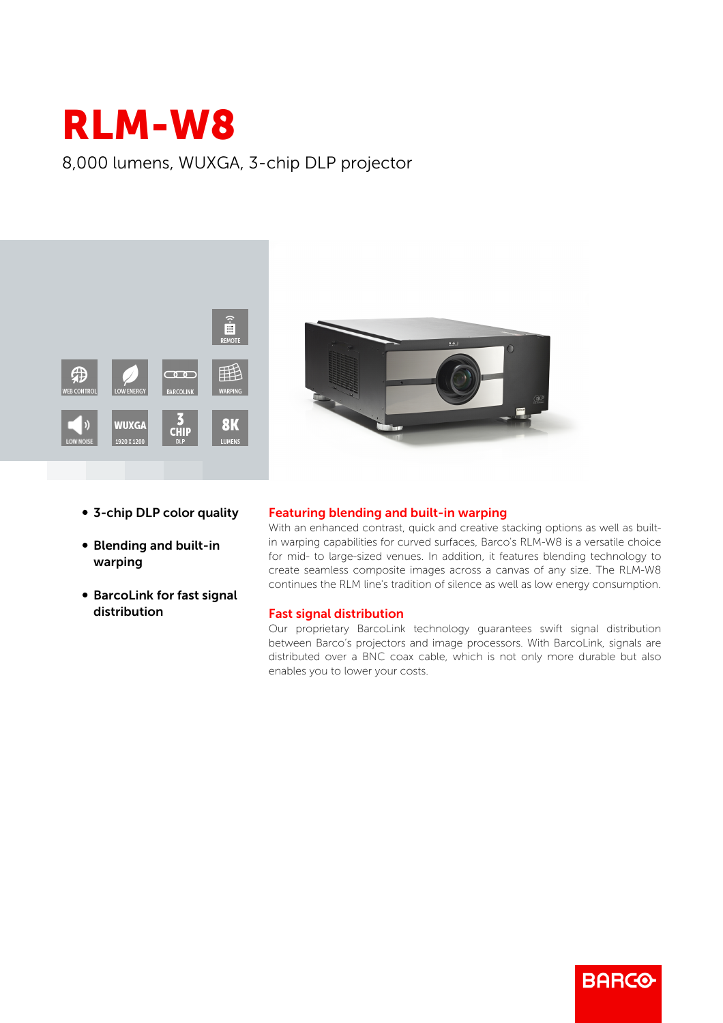## RLM-W8

8,000 lumens, WUXGA, 3-chip DLP projector





- 3-chip DLP color quality
- **Blending and built-in** warping
- BarcoLink for fast signal distribution

## Featuring blending and built-in warping

With an enhanced contrast, quick and creative stacking options as well as builtin warping capabilities for curved surfaces, Barco's RLM-W8 is a versatile choice for mid- to large-sized venues. In addition, it features blending technology to create seamless composite images across a canvas of any size. The RLM-W8 continues the RLM line's tradition of silence as well as low energy consumption.

## Fast signal distribution

Our proprietary BarcoLink technology guarantees swift signal distribution between Barco's projectors and image processors. With BarcoLink, signals are distributed over a BNC coax cable, which is not only more durable but also enables you to lower your costs.